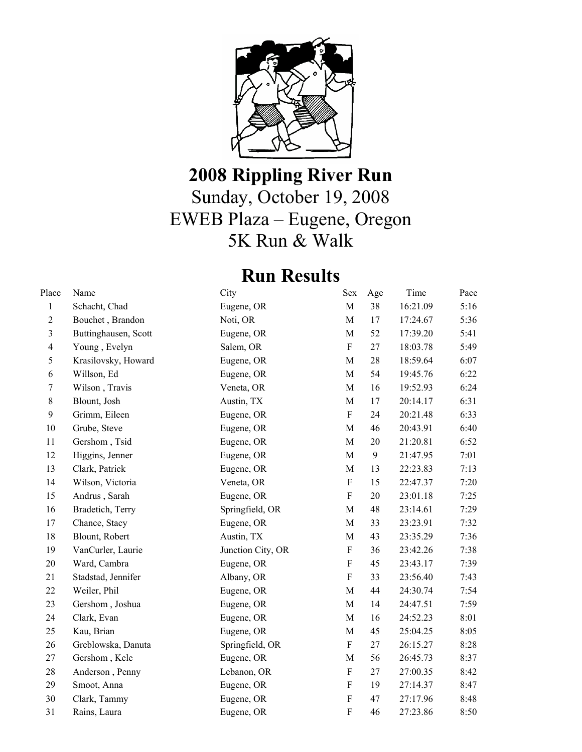

## **2008 Rippling River Run**  Sunday, October 19, 2008 EWEB Plaza – Eugene, Oregon 5K Run & Walk

## **Run Results**

| Place                   | Name                 | City              | Sex                       | Age | Time     | Pace |
|-------------------------|----------------------|-------------------|---------------------------|-----|----------|------|
| $\mathbf{1}$            | Schacht, Chad        | Eugene, OR        | $\mathbf M$               | 38  | 16:21.09 | 5:16 |
| $\overline{2}$          | Bouchet, Brandon     | Noti, OR          | M                         | 17  | 17:24.67 | 5:36 |
| $\overline{\mathbf{3}}$ | Buttinghausen, Scott | Eugene, OR        | $\mathbf M$               | 52  | 17:39.20 | 5:41 |
| $\overline{4}$          | Young, Evelyn        | Salem, OR         | $\mathbf F$               | 27  | 18:03.78 | 5:49 |
| 5                       | Krasilovsky, Howard  | Eugene, OR        | $\mathbf M$               | 28  | 18:59.64 | 6:07 |
| $\sqrt{6}$              | Willson, Ed          | Eugene, OR        | $\mathbf M$               | 54  | 19:45.76 | 6:22 |
| $\tau$                  | Wilson, Travis       | Veneta, OR        | $\mathbf M$               | 16  | 19:52.93 | 6:24 |
| 8                       | Blount, Josh         | Austin, TX        | M                         | 17  | 20:14.17 | 6:31 |
| 9                       | Grimm, Eileen        | Eugene, OR        | $\mathbf F$               | 24  | 20:21.48 | 6:33 |
| 10                      | Grube, Steve         | Eugene, OR        | $\mathbf M$               | 46  | 20:43.91 | 6:40 |
| 11                      | Gershom, Tsid        | Eugene, OR        | $\mathbf M$               | 20  | 21:20.81 | 6:52 |
| 12                      | Higgins, Jenner      | Eugene, OR        | $\mathbf M$               | 9   | 21:47.95 | 7:01 |
| 13                      | Clark, Patrick       | Eugene, OR        | M                         | 13  | 22:23.83 | 7:13 |
| 14                      | Wilson, Victoria     | Veneta, OR        | $\boldsymbol{\mathrm{F}}$ | 15  | 22:47.37 | 7:20 |
| 15                      | Andrus, Sarah        | Eugene, OR        | $\mathbf F$               | 20  | 23:01.18 | 7:25 |
| 16                      | Bradetich, Terry     | Springfield, OR   | $\mathbf M$               | 48  | 23:14.61 | 7:29 |
| 17                      | Chance, Stacy        | Eugene, OR        | M                         | 33  | 23:23.91 | 7:32 |
| 18                      | Blount, Robert       | Austin, TX        | $\mathbf M$               | 43  | 23:35.29 | 7:36 |
| 19                      | VanCurler, Laurie    | Junction City, OR | $\boldsymbol{\mathrm{F}}$ | 36  | 23:42.26 | 7:38 |
| 20                      | Ward, Cambra         | Eugene, OR        | $\mathbf F$               | 45  | 23:43.17 | 7:39 |
| 21                      | Stadstad, Jennifer   | Albany, OR        | ${\bf F}$                 | 33  | 23:56.40 | 7:43 |
| 22                      | Weiler, Phil         | Eugene, OR        | $\mathbf M$               | 44  | 24:30.74 | 7:54 |
| 23                      | Gershom, Joshua      | Eugene, OR        | M                         | 14  | 24:47.51 | 7:59 |
| 24                      | Clark, Evan          | Eugene, OR        | M                         | 16  | 24:52.23 | 8:01 |
| 25                      | Kau, Brian           | Eugene, OR        | $\mathbf M$               | 45  | 25:04.25 | 8:05 |
| 26                      | Greblowska, Danuta   | Springfield, OR   | $\mathbf F$               | 27  | 26:15.27 | 8:28 |
| 27                      | Gershom, Kele        | Eugene, OR        | $\mathbf M$               | 56  | 26:45.73 | 8:37 |
| 28                      | Anderson, Penny      | Lebanon, OR       | $\overline{F}$            | 27  | 27:00.35 | 8:42 |
| 29                      | Smoot, Anna          | Eugene, OR        | $\mathbf F$               | 19  | 27:14.37 | 8:47 |
| 30                      | Clark, Tammy         | Eugene, OR        | $\mathbf F$               | 47  | 27:17.96 | 8:48 |
| 31                      | Rains, Laura         | Eugene, OR        | $\overline{\mathrm{F}}$   | 46  | 27:23.86 | 8:50 |